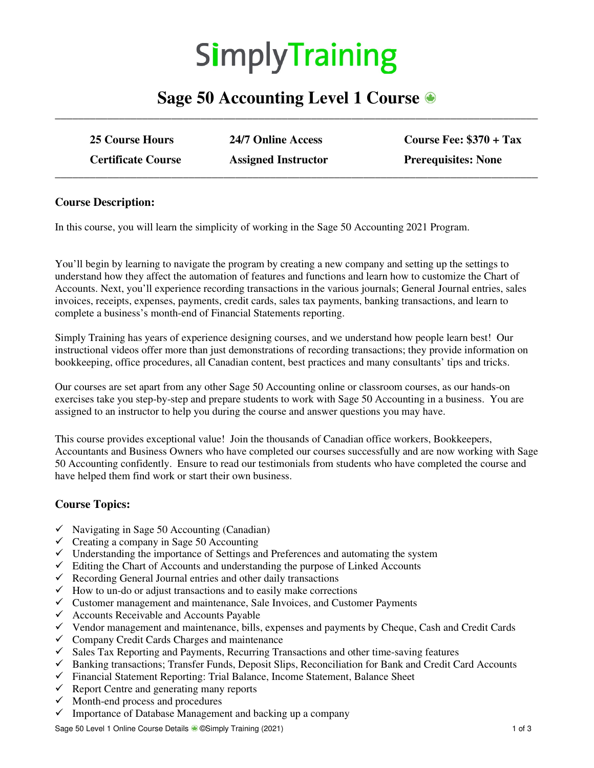# **SimplyTraining**

## **Sage 50 Accounting Level 1 Course \_\_\_\_\_\_\_\_\_\_\_\_\_\_\_\_\_\_\_\_\_\_\_\_\_\_\_\_\_\_\_\_\_\_\_\_\_\_\_\_\_\_\_\_\_\_\_\_\_\_\_\_\_\_\_\_\_\_\_\_\_\_\_\_\_\_\_\_\_\_\_\_\_\_\_\_\_\_\_\_\_\_\_**

| <b>25 Course Hours</b>    | 24/7 Online Access         | Course Fee: $$370 + Tax$   |
|---------------------------|----------------------------|----------------------------|
| <b>Certificate Course</b> | <b>Assigned Instructor</b> | <b>Prerequisites: None</b> |

#### **Course Description:**

In this course, you will learn the simplicity of working in the Sage 50 Accounting 2021 Program.

You'll begin by learning to navigate the program by creating a new company and setting up the settings to understand how they affect the automation of features and functions and learn how to customize the Chart of Accounts. Next, you'll experience recording transactions in the various journals; General Journal entries, sales invoices, receipts, expenses, payments, credit cards, sales tax payments, banking transactions, and learn to complete a business's month-end of Financial Statements reporting.

Simply Training has years of experience designing courses, and we understand how people learn best! Our instructional videos offer more than just demonstrations of recording transactions; they provide information on bookkeeping, office procedures, all Canadian content, best practices and many consultants' tips and tricks.

Our courses are set apart from any other Sage 50 Accounting online or classroom courses, as our hands-on exercises take you step-by-step and prepare students to work with Sage 50 Accounting in a business. You are assigned to an instructor to help you during the course and answer questions you may have.

This course provides exceptional value! Join the thousands of Canadian office workers, Bookkeepers, Accountants and Business Owners who have completed our courses successfully and are now working with Sage 50 Accounting confidently. Ensure to read our testimonials from students who have completed the course and have helped them find work or start their own business.

#### **Course Topics:**

- $\checkmark$  Navigating in Sage 50 Accounting (Canadian)
- $\checkmark$  Creating a company in Sage 50 Accounting
- $\checkmark$  Understanding the importance of Settings and Preferences and automating the system
- $\checkmark$  Editing the Chart of Accounts and understanding the purpose of Linked Accounts
- $\checkmark$  Recording General Journal entries and other daily transactions
- $\checkmark$  How to un-do or adjust transactions and to easily make corrections
- $\checkmark$  Customer management and maintenance, Sale Invoices, and Customer Payments
- $\checkmark$  Accounts Receivable and Accounts Payable
- $\checkmark$  Vendor management and maintenance, bills, expenses and payments by Cheque, Cash and Credit Cards
- $\checkmark$  Company Credit Cards Charges and maintenance
- $\checkmark$  Sales Tax Reporting and Payments, Recurring Transactions and other time-saving features
- $\checkmark$  Banking transactions; Transfer Funds, Deposit Slips, Reconciliation for Bank and Credit Card Accounts
- Financial Statement Reporting: Trial Balance, Income Statement, Balance Sheet
- $\checkmark$  Report Centre and generating many reports
- $\checkmark$  Month-end process and procedures
- $\checkmark$  Importance of Database Management and backing up a company

Sage 50 Level 1 Online Course Details ● ©Simply Training (2021) 1 of 3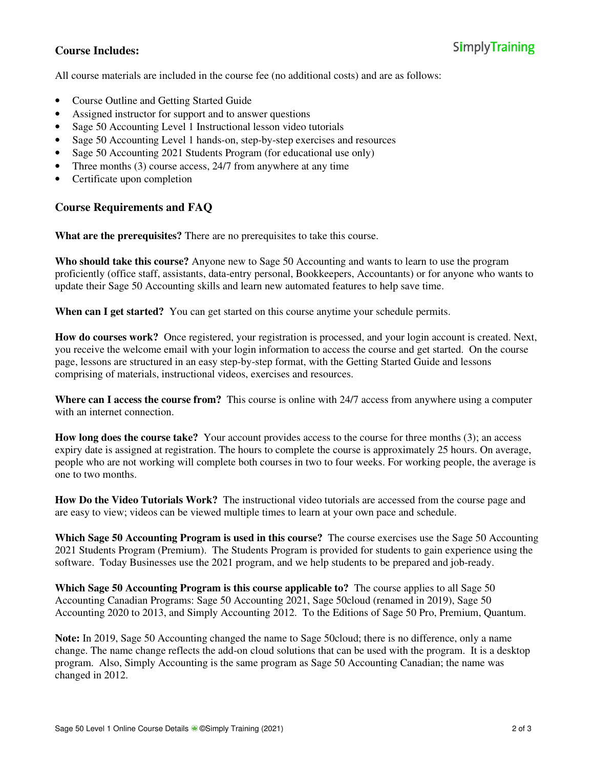#### **Course Includes:**

All course materials are included in the course fee (no additional costs) and are as follows:

- Course Outline and Getting Started Guide
- Assigned instructor for support and to answer questions
- Sage 50 Accounting Level 1 Instructional lesson video tutorials
- Sage 50 Accounting Level 1 hands-on, step-by-step exercises and resources
- Sage 50 Accounting 2021 Students Program (for educational use only)
- Three months (3) course access, 24/7 from anywhere at any time
- Certificate upon completion

### **Course Requirements and FAQ**

**What are the prerequisites?** There are no prerequisites to take this course.

**Who should take this course?** Anyone new to Sage 50 Accounting and wants to learn to use the program proficiently (office staff, assistants, data-entry personal, Bookkeepers, Accountants) or for anyone who wants to update their Sage 50 Accounting skills and learn new automated features to help save time.

**When can I get started?** You can get started on this course anytime your schedule permits.

**How do courses work?** Once registered, your registration is processed, and your login account is created. Next, you receive the welcome email with your login information to access the course and get started. On the course page, lessons are structured in an easy step-by-step format, with the Getting Started Guide and lessons comprising of materials, instructional videos, exercises and resources.

**Where can I access the course from?** This course is online with 24/7 access from anywhere using a computer with an internet connection.

**How long does the course take?** Your account provides access to the course for three months (3); an access expiry date is assigned at registration. The hours to complete the course is approximately 25 hours. On average, people who are not working will complete both courses in two to four weeks. For working people, the average is one to two months.

**How Do the Video Tutorials Work?** The instructional video tutorials are accessed from the course page and are easy to view; videos can be viewed multiple times to learn at your own pace and schedule.

**Which Sage 50 Accounting Program is used in this course?** The course exercises use the Sage 50 Accounting 2021 Students Program (Premium). The Students Program is provided for students to gain experience using the software. Today Businesses use the 2021 program, and we help students to be prepared and job-ready.

**Which Sage 50 Accounting Program is this course applicable to?** The course applies to all Sage 50 Accounting Canadian Programs: Sage 50 Accounting 2021, Sage 50cloud (renamed in 2019), Sage 50 Accounting 2020 to 2013, and Simply Accounting 2012. To the Editions of Sage 50 Pro, Premium, Quantum.

**Note:** In 2019, Sage 50 Accounting changed the name to Sage 50cloud; there is no difference, only a name change. The name change reflects the add-on cloud solutions that can be used with the program. It is a desktop program. Also, Simply Accounting is the same program as Sage 50 Accounting Canadian; the name was changed in 2012.